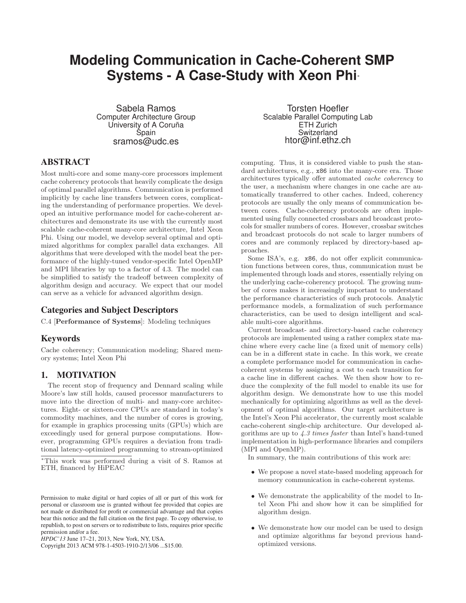# **Modeling Communication in Cache-Coherent SMP Systems - A Case-Study with Xeon Phi**<sup>∗</sup>

Sabela Ramos Computer Architecture Group University of A Coruña Spain sramos@udc.es

# ABSTRACT

Most multi-core and some many-core processors implement cache coherency protocols that heavily complicate the design of optimal parallel algorithms. Communication is performed implicitly by cache line transfers between cores, complicating the understanding of performance properties. We developed an intuitive performance model for cache-coherent architectures and demonstrate its use with the currently most scalable cache-coherent many-core architecture, Intel Xeon Phi. Using our model, we develop several optimal and optimized algorithms for complex parallel data exchanges. All algorithms that were developed with the model beat the performance of the highly-tuned vendor-specific Intel OpenMP and MPI libraries by up to a factor of 4.3. The model can be simplified to satisfy the tradeoff between complexity of algorithm design and accuracy. We expect that our model can serve as a vehicle for advanced algorithm design.

# Categories and Subject Descriptors

C.4 [Performance of Systems]: Modeling techniques

# Keywords

Cache coherency; Communication modeling; Shared memory systems; Intel Xeon Phi

# 1. MOTIVATION

The recent stop of frequency and Dennard scaling while Moore's law still holds, caused processor manufacturers to move into the direction of multi- and many-core architectures. Eight- or sixteen-core CPUs are standard in today's commodity machines, and the number of cores is growing, for example in graphics processing units (GPUs) which are exceedingly used for general purpose computations. However, programming GPUs requires a deviation from traditional latency-optimized programming to stream-optimized

Copyright 2013 ACM 978-1-4503-1910-2/13/06 ...\$15.00.

Torsten Hoefler Scalable Parallel Computing Lab ETH Zurich Switzerland htor@inf.ethz.ch

computing. Thus, it is considered viable to push the standard architectures, e.g.,  $x86$  into the many-core era. Those architectures typically offer automated cache coherency to the user, a mechanism where changes in one cache are automatically transferred to other caches. Indeed, coherency protocols are usually the only means of communication between cores. Cache-coherency protocols are often implemented using fully connected crossbars and broadcast protocols for smaller numbers of cores. However, crossbar switches and broadcast protocols do not scale to larger numbers of cores and are commonly replaced by directory-based approaches.

Some ISA's, e.g. x86, do not offer explicit communication functions between cores, thus, communication must be implemented through loads and stores, essentially relying on the underlying cache-coherency protocol. The growing number of cores makes it increasingly important to understand the performance characteristics of such protocols. Analytic performance models, a formalization of such performance characteristics, can be used to design intelligent and scalable multi-core algorithms.

Current broadcast- and directory-based cache coherency protocols are implemented using a rather complex state machine where every cache line (a fixed unit of memory cells) can be in a different state in cache. In this work, we create a complete performance model for communication in cachecoherent systems by assigning a cost to each transition for a cache line in different caches. We then show how to reduce the complexity of the full model to enable its use for algorithm design. We demonstrate how to use this model mechanically for optimizing algorithms as well as the development of optimal algorithms. Our target architecture is the Intel's Xeon Phi accelerator, the currently most scalable cache-coherent single-chip architecture. Our developed algorithms are up to 4.3 times faster than Intel's hand-tuned implementation in high-performance libraries and compilers (MPI and OpenMP).

In summary, the main contributions of this work are:

- We propose a novel state-based modeling approach for memory communication in cache-coherent systems.
- We demonstrate the applicability of the model to Intel Xeon Phi and show how it can be simplified for algorithm design.
- We demonstrate how our model can be used to design and optimize algorithms far beyond previous handoptimized versions.

<sup>∗</sup>This work was performed during a visit of S. Ramos at ETH, financed by HiPEAC

Permission to make digital or hard copies of all or part of this work for personal or classroom use is granted without fee provided that copies are not made or distributed for profit or commercial advantage and that copies bear this notice and the full citation on the first page. To copy otherwise, to republish, to post on servers or to redistribute to lists, requires prior specific permission and/or a fee.

*HPDC'13* June 17–21, 2013, New York, NY, USA.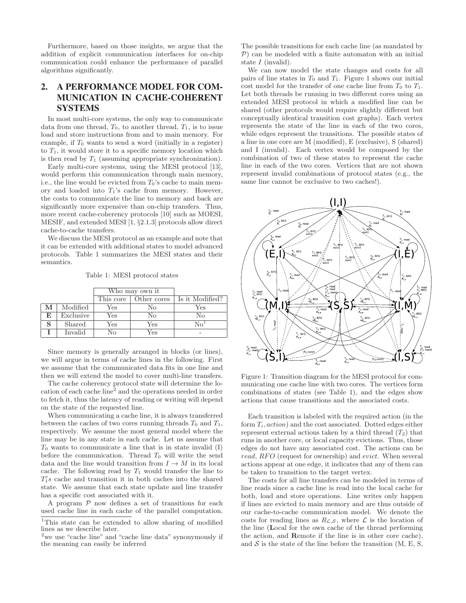Furthermore, based on those insights, we argue that the addition of explicit communication interfaces for on-chip communication could enhance the performance of parallel algorithms significantly.

# 2. A PERFORMANCE MODEL FOR COM-MUNICATION IN CACHE-COHERENT **SYSTEMS**

In most multi-core systems, the only way to communicate data from one thread,  $T_0$ , to another thread,  $T_1$ , is to issue load and store instructions from and to main memory. For example, if  $T_0$  wants to send a word (initially in a register) to  $T_1$ , it would store it to a specific memory location which is then read by  $T_1$  (assuming appropriate synchronization).

Early multi-core systems, using the MESI protocol [13], would perform this communication through main memory, i.e., the line would be evicted from  $T_0$ 's cache to main memory and loaded into  $T_1$ 's cache from memory. However, the costs to communicate the line to memory and back are significantly more expensive than on-chip transfers. Thus, more recent cache-coherency protocols [10] such as MOESI, MESIF, and extended MESI [1, §2.1.3] protocols allow direct cache-to-cache transfers.

We discuss the MESI protocol as an example and note that it can be extended with additional states to model advanced protocols. Table 1 summarizes the MESI states and their semantics.

Table 1: MESI protocol states

|    |           | Who may own it |             |                 |
|----|-----------|----------------|-------------|-----------------|
|    |           | This core      | Other cores | Is it Modified? |
| M  | Modified  | Yes            | No.         | Yes             |
| E. | Exclusive | Yes            | No          | No              |
| S  | Shared    | Yes            | Yes         |                 |
|    | Invalid   | No             | Yes         |                 |

Since memory is generally arranged in blocks (or lines), we will argue in terms of cache lines in the following. First we assume that the communicated data fits in one line and then we will extend the model to cover multi-line transfers.

The cache coherency protocol state will determine the location of each cache line<sup>2</sup> and the operations needed in order to fetch it, thus the latency of reading or writing will depend on the state of the requested line.

When communicating a cache line, it is always transferred between the caches of two cores running threads  $T_0$  and  $T_1$ , respectively. We assume the most general model where the line may be in any state in each cache. Let us assume that  $T_0$  wants to communicate a line that is in state invalid  $(I)$ before the communication. Thread  $T_0$  will write the send data and the line would transition from  $I \to M$  in its local cache. The following read by  $T_1$  would transfer the line to  $T_1's$  cache and transition it in both caches into the shared state. We assume that each state update and line transfer has a specific cost associated with it.

A program  $P$  now defines a set of transitions for each used cache line in each cache of the parallel computation. The possible transitions for each cache line (as mandated by  $P$ ) can be modeled with a finite automaton with an initial state I (invalid).

We can now model the state changes and costs for all pairs of line states in  $T_0$  and  $T_1$ . Figure 1 shows our initial cost model for the transfer of one cache line from  $T_0$  to  $T_1$ . Let both threads be running in two different cores using an extended MESI protocol in which a modified line can be shared (other protocols would require slightly different but conceptually identical transition cost graphs). Each vertex represents the state of the line in each of the two cores, while edges represent the transitions. The possible states of a line in one core are M (modified), E (exclusive), S (shared) and I (invalid). Each vertex would be composed by the combination of two of these states to represent the cache line in each of the two cores. Vertices that are not shown represent invalid combinations of protocol states (e.g., the same line cannot be exclusive to two caches!).



Figure 1: Transition diagram for the MESI protocol for communicating one cache line with two cores. The vertices form combinations of states (see Table 1), and the edges show actions that cause transitions and the associated costs.

Each transition is labeled with the required action (in the form  $T_i$ , action) and the cost associated. Dotted edges either represent external actions taken by a third thread  $(T_2)$  that runs in another core, or local capacity evictions. Thus, those edges do not have any associated cost. The actions can be read, RFO (request for ownership) and *evict*. When several actions appear at one edge, it indicates that any of them can be taken to transition to the target vertex.

The costs for all line transfers can be modeled in terms of line reads since a cache line is read into the local cache for both, load and store operations. Line writes only happen if lines are evicted to main memory and are thus outside of our cache-to-cache communication model. We denote the costs for reading lines as  $R_{\mathcal{L},\mathcal{S}}$ , where  $\mathcal L$  is the location of the line (Local for the own cache of the thread performing the action, and Remote if the line is in other core cache), and  $S$  is the state of the line before the transition  $(M, E, S, \mathcal{S})$ 

<sup>1</sup>This state can be extended to allow sharing of modified lines as we describe later.

<sup>&</sup>lt;sup>2</sup>we use "cache line" and "cache line data" synonymously if the meaning can easily be inferred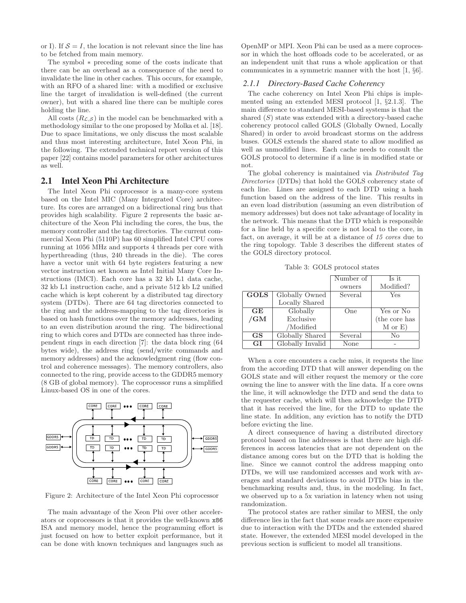or I). If  $S = I$ , the location is not relevant since the line has to be fetched from main memory.

The symbol ∗ preceding some of the costs indicate that there can be an overhead as a consequence of the need to invalidate the line in other caches. This occurs, for example, with an RFO of a shared line: with a modified or exclusive line the target of invalidation is well-defined (the current owner), but with a shared line there can be multiple cores holding the line.

All costs  $(R_{\mathcal{L},\mathcal{S}})$  in the model can be benchmarked with a methodology similar to the one proposed by Molka et al. [18]. Due to space limitations, we only discuss the most scalable and thus most interesting architecture, Intel Xeon Phi, in the following. The extended technical report version of this paper [22] contains model parameters for other architectures as well.

### 2.1 Intel Xeon Phi Architecture

The Intel Xeon Phi coprocessor is a many-core system based on the Intel MIC (Many Integrated Core) architecture. Its cores are arranged on a bidirectional ring bus that provides high scalability. Figure 2 represents the basic architecture of the Xeon Phi including the cores, the bus, the memory controller and the tag directories. The current commercial Xeon Phi (5110P) has 60 simplified Intel CPU cores running at 1056 MHz and supports 4 threads per core with hyperthreading (thus, 240 threads in the die). The cores have a vector unit with 64 byte registers featuring a new vector instruction set known as Intel Initial Many Core Instructions (IMCI). Each core has a 32 kb L1 data cache, 32 kb L1 instruction cache, and a private 512 kb L2 unified cache which is kept coherent by a distributed tag directory system (DTDs). There are 64 tag directories connected to the ring and the address-mapping to the tag directories is based on hash functions over the memory addresses, leading to an even distribution around the ring. The bidirectional ring to which cores and DTDs are connected has three independent rings in each direction [7]: the data block ring (64 bytes wide), the address ring (send/write commands and memory addresses) and the acknowledgment ring (flow control and coherence messages). The memory controllers, also connected to the ring, provide access to the GDDR5 memory (8 GB of global memory). The coprocessor runs a simplified Linux-based OS in one of the cores.



Figure 2: Architecture of the Intel Xeon Phi coprocessor

The main advantage of the Xeon Phi over other accelerators or coprocessors is that it provides the well-known x86 ISA and memory model, hence the programming effort is just focused on how to better exploit performance, but it can be done with known techniques and languages such as

OpenMP or MPI. Xeon Phi can be used as a mere coprocessor in which the host offloads code to be accelerated, or as an independent unit that runs a whole application or that communicates in a symmetric manner with the host [1, §6].

### *2.1.1 Directory-Based Cache Coherency*

The cache coherency on Intel Xeon Phi chips is implemented using an extended MESI protocol [1, §2.1.3]. The main difference to standard MESI-based systems is that the shared  $(S)$  state was extended with a directory-based cache coherency protocol called GOLS (Globally Owned, Locally Shared) in order to avoid broadcast storms on the address buses. GOLS extends the shared state to allow modified as well as unmodified lines. Each cache needs to consult the GOLS protocol to determine if a line is in modified state or not.

The global coherency is maintained via Distributed Tag Directories (DTDs) that hold the GOLS coherency state of each line. Lines are assigned to each DTD using a hash function based on the address of the line. This results in an even load distribution (assuming an even distribution of memory addresses) but does not take advantage of locality in the network. This means that the DTD which is responsible for a line held by a specific core is not local to the core, in fact, on average, it will be at a distance of 15 cores due to the ring topology. Table 3 describes the different states of the GOLS directory protocol.

Table 3: GOLS protocol states

|             |                  | Number of | Is it         |
|-------------|------------------|-----------|---------------|
|             |                  | owners    | Modified?     |
| <b>GOLS</b> | Globally Owned   | Several   | Yes           |
|             | Locally Shared   |           |               |
| GE          | Globally         | One       | Yes or No     |
| /GM         | Exclusive        |           | (the core has |
|             | /Modified        |           | $M$ or $E)$   |
| GS          | Globally Shared  | Several   | No            |
| GI          | Globally Invalid | None      |               |

When a core encounters a cache miss, it requests the line from the according DTD that will answer depending on the GOLS state and will either request the memory or the core owning the line to answer with the line data. If a core owns the line, it will acknowledge the DTD and send the data to the requester cache, which will then acknowledge the DTD that it has received the line, for the DTD to update the line state. In addition, any eviction has to notify the DTD before evicting the line.

A direct consequence of having a distributed directory protocol based on line addresses is that there are high differences in access latencies that are not dependent on the distance among cores but on the DTD that is holding the line. Since we cannot control the address mapping onto DTDs, we will use randomized accesses and work with averages and standard deviations to avoid DTDs bias in the benchmarking results and, thus, in the modeling. In fact, we observed up to a 5x variation in latency when not using randomization.

The protocol states are rather similar to MESI, the only difference lies in the fact that some reads are more expensive due to interaction with the DTDs and the extended shared state. However, the extended MESI model developed in the previous section is sufficient to model all transitions.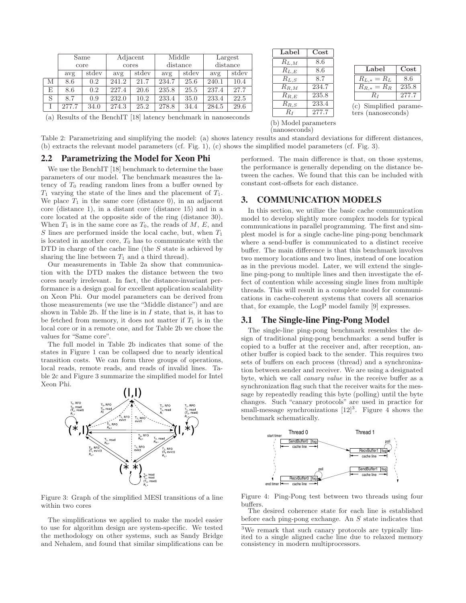|   |       | Same  |       | Adjacent |       | Middle   |       | Largest  |
|---|-------|-------|-------|----------|-------|----------|-------|----------|
|   |       | core  |       | cores    |       | distance |       | distance |
|   | avg   | stdev | avg   | stdev    | avg   | stdev    | avg   | stdev    |
| M | 8.6   | 0.2   | 241.2 | 21.7     | 234.7 | 25.6     | 240.1 | 10.4     |
| E | 8.6   | 0.2   | 227.4 | 20.6     | 235.8 | 25.5     | 237.4 | 27.7     |
| S | 8.7   | 0.9   | 232.0 | 10.2     | 233.4 | 35.0     | 233.4 | 22.5     |
|   | 277.7 | 34.0  | 274.3 | 25.2     | 278.8 | 34.4     | 284.5 | 29.6     |

| Label                | $\rm Cost$ |  |
|----------------------|------------|--|
| $R_{L,M}$            | 8.6        |  |
| $R_{L,E}$            | 8.6        |  |
| $R_{L,S}$            | 8.7        |  |
| $R_{R,M}$            | 234.7      |  |
| $R_{R,E}$            | 235.8      |  |
| $R_{R,S}$            | 233.4      |  |
| $R_I$                | 277.7      |  |
| (b) Model parameters |            |  |

(nanoseconds)

| Label            | Cost  |
|------------------|-------|
| $R_{L,\ast}=R_L$ | 8.6   |
| $R_{R,*}=R_R$    | 235.8 |
| R1               | 277.7 |

(c) Simplified parameters (nanoseconds)

(a) Results of the BenchIT [18] latency benchmark in nanoseconds

Table 2: Parametrizing and simplifying the model: (a) shows latency results and standard deviations for different distances, (b) extracts the relevant model parameters (cf. Fig. 1), (c) shows the simplified model parameters (cf. Fig. 3).

# 2.2 Parametrizing the Model for Xeon Phi

We use the BenchIT [18] benchmark to determine the base parameters of our model. The benchmark measures the latency of  $T_0$  reading random lines from a buffer owned by  $T_1$  varying the state of the lines and the placement of  $T_1$ . We place  $T_1$  in the same core (distance 0), in an adjacent core (distance 1), in a distant core (distance 15) and in a core located at the opposite side of the ring (distance 30). When  $T_1$  is in the same core as  $T_0$ , the reads of  $M$ ,  $E$ , and S lines are performed inside the local cache, but, when  $T_1$ is located in another core,  $T_0$  has to communicate with the DTD in charge of the cache line (the S state is achieved by sharing the line between  $T_1$  and a third thread).

Our measurements in Table 2a show that communication with the DTD makes the distance between the two cores nearly irrelevant. In fact, the distance-invariant performance is a design goal for excellent application scalability on Xeon Phi. Our model parameters can be derived from those measurements (we use the "Middle distance") and are shown in Table 2b. If the line is in  $I$  state, that is, it has to be fetched from memory, it does not matter if  $T_1$  is in the local core or in a remote one, and for Table 2b we chose the values for "Same core".

The full model in Table 2b indicates that some of the states in Figure 1 can be collapsed due to nearly identical transition costs. We can form three groups of operations, local reads, remote reads, and reads of invalid lines. Table 2c and Figure 3 summarize the simplified model for Intel Xeon Phi.



Figure 3: Graph of the simplified MESI transitions of a line within two cores

The simplifications we applied to make the model easier to use for algorithm design are system-specific. We tested the methodology on other systems, such as Sandy Bridge and Nehalem, and found that similar simplifications can be performed. The main difference is that, on those systems, the performance is generally depending on the distance between the caches. We found that this can be included with constant cost-offsets for each distance.

# 3. COMMUNICATION MODELS

In this section, we utilize the basic cache communication model to develop slightly more complex models for typical communications in parallel programming. The first and simplest model is for a single cache-line ping-pong benchmark where a send-buffer is communicated to a distinct receive buffer. The main difference is that this benchmark involves two memory locations and two lines, instead of one location as in the previous model. Later, we will extend the singleline ping-pong to multiple lines and then investigate the effect of contention while accessing single lines from multiple threads. This will result in a complete model for communications in cache-coherent systems that covers all scenarios that, for example, the LogP model family [9] expresses.

# 3.1 The Single-line Ping-Pong Model

The single-line ping-pong benchmark resembles the design of traditional ping-pong benchmarks: a send buffer is copied to a buffer at the receiver and, after reception, another buffer is copied back to the sender. This requires two sets of buffers on each process (thread) and a synchronization between sender and receiver. We are using a designated byte, which we call canary value in the receive buffer as a synchronization flag such that the receiver waits for the message by repeatedly reading this byte (polling) until the byte changes. Such "canary protocols" are used in practice for small-message synchronizations  $[12]^3$ . Figure 4 shows the benchmark schematically.



Figure 4: Ping-Pong test between two threads using four buffers.

The desired coherence state for each line is established before each ping-pong exchange. An  $S$  state indicates that

<sup>3</sup>We remark that such canary protocols are typically limited to a single aligned cache line due to relaxed memory consistency in modern multiprocessors.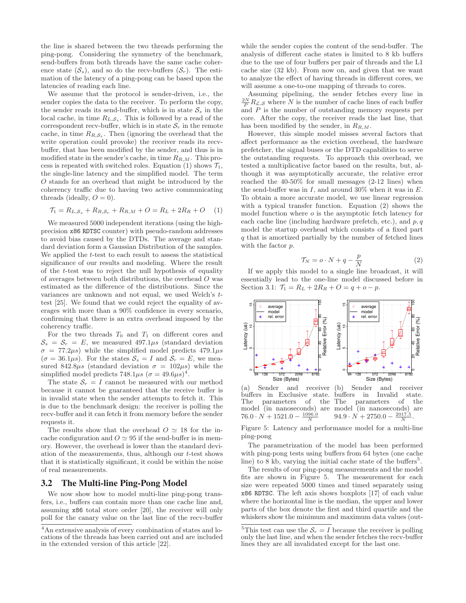the line is shared between the two threads performing the ping-pong. Considering the symmetry of the benchmark, send-buffers from both threads have the same cache coherence state  $(\mathcal{S}_s)$ , and so do the recv-buffers  $(\mathcal{S}_r)$ . The estimation of the latency of a ping-pong can be based upon the latencies of reading each line.

We assume that the protocol is sender-driven, i.e., the sender copies the data to the receiver. To perform the copy, the sender reads its send-buffer, which is in state  $S<sub>s</sub>$  in the local cache, in time  $R_{L,S_s}$ . This is followed by a read of the correspondent recv-buffer, which is in state  $S_r$  in the remote cache, in time  $R_{R,S_r}$ . Then (ignoring the overhead that the write operation could provoke) the receiver reads its recvbuffer, that has been modified by the sender, and thus is in modified state in the sender's cache, in time  $R_{R,M}$ . This process is repeated with switched roles. Equation (1) shows  $\mathcal{T}_1$ , the single-line latency and the simplified model. The term O stands for an overhead that might be introduced by the coherency traffic due to having two active communicating threads (ideally,  $O = 0$ ).

$$
\mathcal{T}_1 = R_{L,S_s} + R_{R,S_r} + R_{R,M} + O = R_L + 2R_R + O \quad (1)
$$

We measured 5000 independent iterations (using the highprecision x86 RDTSC counter) with pseudo-random addresses to avoid bias caused by the DTDs. The average and standard deviation form a Gaussian Distribution of the samples. We applied the t-test to each result to assess the statistical significance of our results and modeling. Where the result of the t-test was to reject the null hypothesis of equality of averages between both distributions, the overhead O was estimated as the difference of the distributions. Since the variances are unknown and not equal, we used Welch's ttest [25]. We found that we could reject the equality of averages with more than a 90% confidence in every scenario, confirming that there is an extra overhead imposed by the coherency traffic.

For the two threads  $T_0$  and  $T_1$  on different cores and  $S_s = S_r = E$ , we measured 497.1 $\mu s$  (standard deviation  $\sigma = 77.2 \mu s$ ) while the simplified model predicts  $479.1 \mu s$  $(\sigma = 36.1 \mu s)$ . For the states  $S_s = I$  and  $S_r = E$ , we measured 842.8 $\mu$ s (standard deviation  $\sigma = 102\mu$ s) while the simplified model predicts  $748.1\mu s~(\sigma = 49.6\mu s)^4$ .

The state  $S_r = I$  cannot be measured with our method because it cannot be guaranteed that the receive buffer is in invalid state when the sender attempts to fetch it. This is due to the benchmark design: the receiver is polling the recv-buffer and it can fetch it from memory before the sender requests it.

The results show that the overhead  $O \simeq 18$  for the incache configuration and  $O \simeq 95$  if the send-buffer is in memory. However, the overhead is lower than the standard deviation of the measurements, thus, although our t-test shows that it is statistically significant, it could be within the noise of real measurements.

### 3.2 The Multi-line Ping-Pong Model

We now show how to model multi-line ping-pong transfers, i.e., buffers can contain more than one cache line and, assuming x86 total store order [20], the receiver will only poll for the canary value on the last line of the recv-buffer while the sender copies the content of the send-buffer. The analysis of different cache states is limited to 8 kb buffers due to the use of four buffers per pair of threads and the L1 cache size (32 kb). From now on, and given that we want to analyze the effect of having threads in different cores, we will assume a one-to-one mapping of threads to cores.

Assuming pipelining, the sender fetches every line in  $\frac{2N}{P}R_{\mathcal{L},\mathcal{S}}$  where N is the number of cache lines of each buffer and P is the number of outstanding memory requests per core. After the copy, the receiver reads the last line, that has been modified by the sender, in  $R_{R,M}$ .

However, this simple model misses several factors that affect performance as the eviction overhead, the hardware prefetcher, the signal buses or the DTD capabilities to serve the outstanding requests. To approach this overhead, we tested a multiplicative factor based on the results, but, although it was asymptotically accurate, the relative error reached the 40-50% for small messages (2-12 lines) when the send-buffer was in  $I$ , and around 30% when it was in  $E$ . To obtain a more accurate model, we use linear regression with a typical transfer function. Equation (2) shows the model function where  $o$  is the asymptotic fetch latency for each cache line (including hardware prefetch, etc.), and  $p, q$ model the startup overhead which consists of a fixed part q that is amortized partially by the number of fetched lines with the factor  $p$ .

$$
\mathcal{T}_N = o \cdot N + q - \frac{p}{N} \tag{2}
$$

If we apply this model to a single line broadcast, it will essentially lead to the one-line model discussed before in Section 3.1:  $\mathcal{T}_1 = R_L + 2R_R + O = q + o - p$ .



(a) Sender and receiver buffers in Exclusive state. The parameters of the model (in nanoseconds) are  $76.0 \cdot N + 1521.0 - \frac{1096.0}{N}$ 

Sender and receiver buffers in Invalid state. The parameters of the model (in nanoseconds) are  $94.9 \cdot N + 2750.0 - \frac{2017.5}{N}.$ 

Figure 5: Latency and performance model for a multi-line ping-pong

The parametrization of the model has been performed with ping-pong tests using buffers from 64 bytes (one cache line) to  $\overline{8}$  kb, varying the initial cache state of the buffers<sup>5</sup>.

The results of our ping-pong measurements and the model fits are shown in Figure 5. The measurement for each size were repeated 5000 times and timed separately using x86 RDTSC. The left axis shows boxplots [17] of each value where the horizontal line is the median, the upper and lower parts of the box denote the first and third quartile and the whiskers show the minimum and maximum data values (out-

<sup>4</sup>An extensive analysis of every combination of states and locations of the threads has been carried out and are included in the extended version of this article [22].

<sup>&</sup>lt;sup>5</sup>This test can use the  $S_r = I$  because the receiver is polling only the last line, and when the sender fetches the recv-buffer lines they are all invalidated except for the last one.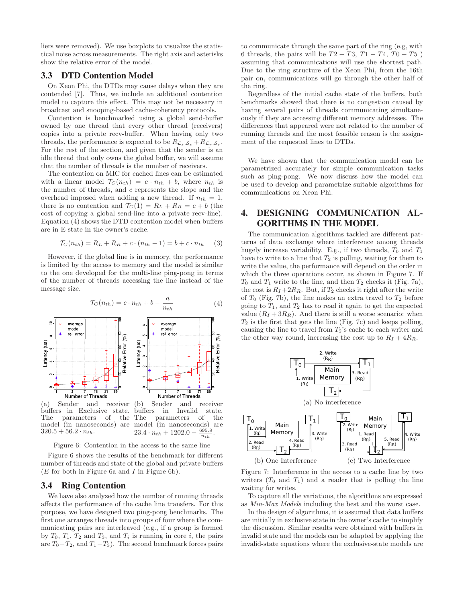liers were removed). We use boxplots to visualize the statistical noise across measurements. The right axis and asterisks show the relative error of the model.

### 3.3 DTD Contention Model

On Xeon Phi, the DTDs may cause delays when they are contended [7]. Thus, we include an additional contention model to capture this effect. This may not be necessary in broadcast and snooping-based cache-coherency protocols.

Contention is benchmarked using a global send-buffer owned by one thread that every other thread (receivers) copies into a private recv-buffer. When having only two threads, the performance is expected to be  $R_{\mathcal{L}_s, \mathcal{S}_s} + R_{\mathcal{L}_r, \mathcal{S}_r}$ . For the rest of the section, and given that the sender is an idle thread that only owns the global buffer, we will assume that the number of threads is the number of receivers.

The contention on MIC for cached lines can be estimated with a linear model  $\mathcal{T}_C(n_{th}) = c \cdot n_{th} + b$ , where  $n_{th}$  is the number of threads, and c represents the slope and the overhead imposed when adding a new thread. If  $n_{th} = 1$ , there is no contention and  $\mathcal{T}_C(1) = R_L + R_R = c + b$  (the cost of copying a global send-line into a private recv-line). Equation (4) shows the DTD contention model when buffers are in E state in the owner's cache.

$$
\mathcal{T}_C(n_{th}) = R_L + R_R + c \cdot (n_{th} - 1) = b + c \cdot n_{th} \tag{3}
$$

However, if the global line is in memory, the performance is limited by the access to memory and the model is similar to the one developed for the multi-line ping-pong in terms of the number of threads accessing the line instead of the message size.



Figure 6: Contention in the access to the same line

Figure 6 shows the results of the benchmark for different number of threads and state of the global and private buffers (E for both in Figure 6a and I in Figure 6b).

# 3.4 Ring Contention

We have also analyzed how the number of running threads affects the performance of the cache line transfers. For this purpose, we have designed two ping-pong benchmarks. The first one arranges threads into groups of four where the communicating pairs are interleaved (e.g., if a group is formed by  $T_0$ ,  $T_1$ ,  $T_2$  and  $T_3$ , and  $T_i$  is running in core *i*, the pairs are  $T_0-T_2$ , and  $T_1-T_3$ ). The second benchmark forces pairs

to communicate through the same part of the ring (e.g, with 6 threads, the pairs will be  $T2 - T3$ ,  $T1 - T4$ ,  $T0 - T5$ ) assuming that communications will use the shortest path. Due to the ring structure of the Xeon Phi, from the 16th pair on, communications will go through the other half of the ring.

Regardless of the initial cache state of the buffers, both benchmarks showed that there is no congestion caused by having several pairs of threads communicating simultaneously if they are accessing different memory addresses. The differences that appeared were not related to the number of running threads and the most feasible reason is the assignment of the requested lines to DTDs.

We have shown that the communication model can be parametrized accurately for simple communication tasks such as ping-pong. We now discuss how the model can be used to develop and parametrize suitable algorithms for communications on Xeon Phi.

# 4. DESIGNING COMMUNICATION AL-GORITHMS IN THE MODEL

The communication algorithms tackled are different patterns of data exchange where interference among threads hugely increase variability. E.g., if two threads,  $T_0$  and  $T_1$ have to write to a line that  $T_2$  is polling, waiting for them to write the value, the performance will depend on the order in which the three operations occur, as shown in Figure 7. If  $T_0$  and  $T_1$  write to the line, and then  $T_2$  checks it (Fig. 7a), the cost is  $R_I + 2R_R$ . But, if  $T_2$  checks it right after the write of  $T_0$  (Fig. 7b), the line makes an extra travel to  $T_2$  before going to  $T_1$ , and  $T_2$  has to read it again to get the expected value  $(R_I + 3R_R)$ . And there is still a worse scenario: when  $T_2$  is the first that gets the line (Fig. 7c) and keeps polling, causing the line to travel from  $T_2$ 's cache to each writer and the other way round, increasing the cost up to  $R_I + 4R_R$ .

![](_page_5_Figure_17.jpeg)

Figure 7: Interference in the access to a cache line by two writers  $(T_0$  and  $T_1$ ) and a reader that is polling the line waiting for writes.

To capture all the variations, the algorithms are expressed as Min-Max Models including the best and the worst case.

In the design of algorithms, it is assumed that data buffers are initially in exclusive state in the owner's cache to simplify the discussion. Similar results were obtained with buffers in invalid state and the models can be adapted by applying the invalid-state equations where the exclusive-state models are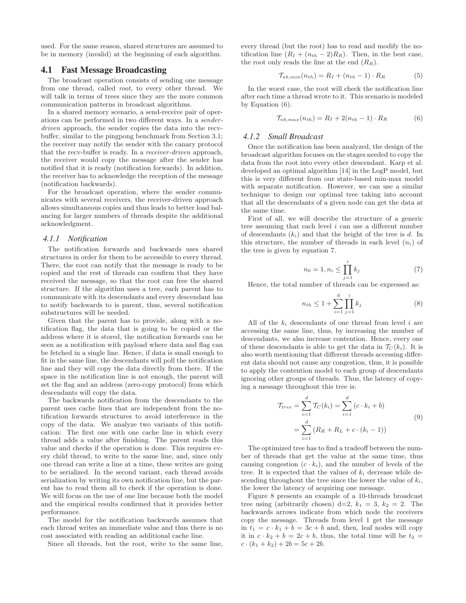used. For the same reason, shared structures are assumed to be in memory (invalid) at the beginning of each algorithm.

# 4.1 Fast Message Broadcasting

The broadcast operation consists of sending one message from one thread, called root, to every other thread. We will talk in terms of trees since they are the more common communication patterns in broadcast algorithms.

In a shared memory scenario, a send-receive pair of operations can be performed in two different ways. In a senderdriven approach, the sender copies the data into the recvbuffer, similar to the pingpong benchmark from Section 3.1; the receiver may notify the sender with the canary protocol that the recv-buffer is ready. In a receiver-driven approach, the receiver would copy the message after the sender has notified that it is ready (notification forwards). In addition, the receiver has to acknowledge the reception of the message (notification backwards).

For the broadcast operation, where the sender communicates with several receivers, the receiver-driven approach allows simultaneous copies and thus leads to better load balancing for larger numbers of threads despite the additional acknowledgment.

#### *4.1.1 Notification*

The notification forwards and backwards uses shared structures in order for them to be accessible to every thread. There, the root can notify that the message is ready to be copied and the rest of threads can confirm that they have received the message, so that the root can free the shared structure. If the algorithm uses a tree, each parent has to communicate with its descendants and every descendant has to notify backwards to is parent, thus, several notification substructures will be needed.

Given that the parent has to provide, along with a notification flag, the data that is going to be copied or the address where it is stored, the notification forwards can be seen as a notification with payload where data and flag can be fetched in a single line. Hence, if data is small enough to fit in the same line, the descendants will poll the notification line and they will copy the data directly from there. If the space in the notification line is not enough, the parent will set the flag and an address (zero-copy protocol) from which descendants will copy the data.

The backwards notification from the descendants to the parent uses cache lines that are independent from the notification forwards structures to avoid interference in the copy of the data. We analyze two variants of this notification: The first one with one cache line in which every thread adds a value after finishing. The parent reads this value and checks if the operation is done. This requires every child thread, to write to the same line, and, since only one thread can write a line at a time, these writes are going to be serialized. In the second variant, each thread avoids serialization by writing its own notification line, but the parent has to read them all to check if the operation is done. We will focus on the use of one line because both the model and the empirical results confirmed that it provides better performance.

The model for the notification backwards assumes that each thread writes an immediate value and thus there is no cost associated with reading an additional cache line.

Since all threads, but the root, write to the same line,

every thread (but the root) has to read and modify the notification line  $(R_I + (n_{th} - 2)R_R)$ . Then, in the best case, the root only reads the line at the end  $(R_R)$ .

$$
\mathcal{T}_{nb,min}(n_{th}) = R_I + (n_{th} - 1) \cdot R_R \tag{5}
$$

In the worst case, the root will check the notification line after each time a thread wrote to it. This scenario is modeled by Equation (6).

$$
\mathcal{T}_{nb,max}(n_{th}) = R_I + 2(n_{th} - 1) \cdot R_R \tag{6}
$$

### *4.1.2 Small Broadcast*

Once the notification has been analyzed, the design of the broadcast algorithm focuses on the stages needed to copy the data from the root into every other descendant. Karp et al. developed an optimal algorithm [14] in the LogP model, but this is very different from our state-based min-max model with separate notification. However, we can use a similar technique to design our optimal tree taking into account that all the descendants of a given node can get the data at the same time.

First of all, we will describe the structure of a generic tree assuming that each level  $i$  can use a different number of descendants  $(k_i)$  and that the height of the tree is d. In this structure, the number of threads in each level  $(n_i)$  of the tree is given by equation 7.

$$
n_0 = 1, n_i \le \prod_{j=1}^i k_j \tag{7}
$$

Hence, the total number of threads can be expressed as:

$$
n_{th} \le 1 + \sum_{i=1}^{d} \prod_{j=1}^{i} k_j
$$
 (8)

All of the  $k_i$  descendants of one thread from level  $i$  are accessing the same line, thus, by increasing the number of descendants, we also increase contention. Hence, every one of these descendants is able to get the data in  $\mathcal{T}_{C}(k_i)$ . It is also worth mentioning that different threads accessing different data should not cause any congestion, thus, it is possible to apply the contention model to each group of descendants ignoring other groups of threads. Thus, the latency of copying a message throughout this tree is:

$$
\mathcal{T}_{tree} = \sum_{i=1}^{d} \mathcal{T}_{C}(k_i) = \sum_{i=1}^{d} (c \cdot k_i + b)
$$

$$
= \sum_{i=1}^{d} (R_R + R_L + c \cdot (k_i - 1))
$$
(9)

The optimized tree has to find a tradeoff between the number of threads that get the value at the same time, thus causing congestion  $(c \cdot k_i)$ , and the number of levels of the tree. It is expected that the values of  $k_i$  decrease while descending throughout the tree since the lower the value of  $k_i$ , the lower the latency of acquiring one message.

Figure 8 presents an example of a 10-threads broadcast tree using (arbitrarily chosen) d=2,  $k_1 = 3$ ,  $k_2 = 2$ . The backwards arrows indicate from which node the receivers copy the message. Threads from level 1 get the message in  $t_1 = c \cdot k_1 + b = 3c + b$  and, then, leaf nodes will copy it in  $c \cdot k_2 + b = 2c + b$ , thus, the total time will be  $t_2 =$  $c \cdot (k_1 + k_2) + 2b = 5c + 2b.$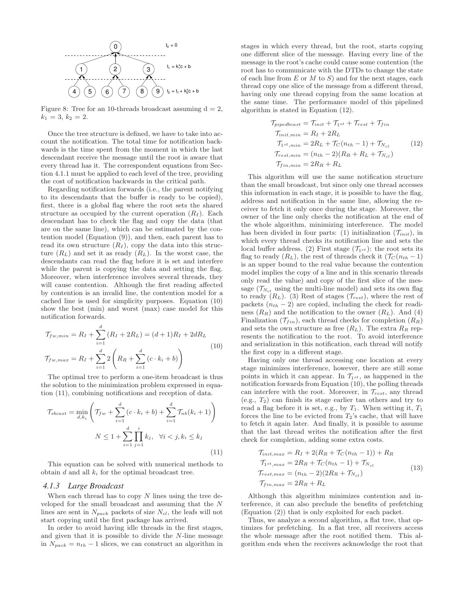![](_page_7_Figure_0.jpeg)

Figure 8: Tree for an 10-threads broadcast assuming  $d = 2$ ,  $k_1 = 3, k_2 = 2.$ 

Once the tree structure is defined, we have to take into account the notification. The total time for notification backwards is the time spent from the moment in which the last descendant receive the message until the root is aware that every thread has it. The correspondent equations from Section 4.1.1 must be applied to each level of the tree, providing the cost of notification backwards in the critical path.

Regarding notification forwards (i.e., the parent notifying to its descendants that the buffer is ready to be copied), first, there is a global flag where the root sets the shared structure as occupied by the current operation  $(R<sub>I</sub>)$ . Each descendant has to check the flag and copy the data (that are on the same line), which can be estimated by the contention model (Equation (9)), and then, each parent has to read its own structure  $(R_I)$ , copy the data into this structure  $(R_L)$  and set it as ready  $(R_L)$ . In the worst case, the descendants can read the flag before it is set and interfere while the parent is copying the data and setting the flag. Moreover, when interference involves several threads, they will cause contention. Although the first reading affected by contention is an invalid line, the contention model for a cached line is used for simplicity purposes. Equation (10) show the best (min) and worst (max) case model for this notification forwards.

$$
\mathcal{T}_{fw,min} = R_I + \sum_{i=1}^{d} (R_I + 2R_L) = (d+1)R_I + 2dR_L
$$
\n
$$
\mathcal{T}_{fw,max} = R_I + \sum_{i=1}^{d} 2\left(R_R + \sum_{i=1}^{d} (c \cdot k_i + b)\right)
$$
\n(10)

The optimal tree to perform a one-item broadcast is thus the solution to the minimization problem expressed in equation (11), combining notifications and reception of data.

$$
\mathcal{T}_{sbcast} = \min_{d,k_i} \left( \mathcal{T}_{fw} + \sum_{i=1}^d (c \cdot k_i + b) + \sum_{i=1}^d \mathcal{T}_{nb}(k_i + 1) \right)
$$

$$
N \le 1 + \sum_{i=1}^d \prod_{j=1}^i k_j, \ \ \forall i < j, k_i \le k_j \tag{11}
$$

This equation can be solved with numerical methods to obtain  $d$  and all  $k_i$  for the optimal broadcast tree.

### *4.1.3 Large Broadcast*

When each thread has to copy  $N$  lines using the tree developed for the small broadcast and assuming that the N lines are sent in  $N_{pack}$  packets of size  $N_{cl}$ , the leafs will not start copying until the first package has arrived.

In order to avoid having idle threads in the first stages, and given that it is possible to divide the N-line message in  $N_{pack} = n_{th} - 1$  slices, we can construct an algorithm in stages in which every thread, but the root, starts copying one different slice of the message. Having every line of the message in the root's cache could cause some contention (the root has to communicate with the DTDs to change the state of each line from  $E$  or  $M$  to  $S$ ) and for the next stages, each thread copy one slice of the message from a different thread, having only one thread copying from the same location at the same time. The performance model of this pipelined algorithm is stated in Equation (12).

$$
\mathcal{T}_{pipedbcast} = \mathcal{T}_{init} + \mathcal{T}_{1st} + \mathcal{T}_{rest} + \mathcal{T}_{fin}
$$
\n
$$
\mathcal{T}_{init,min} = R_I + 2R_L
$$
\n
$$
\mathcal{T}_{1st,min} = 2R_L + \mathcal{T}_C(n_{th} - 1) + \mathcal{T}_{N_{cl}}
$$
\n
$$
\mathcal{T}_{rest,min} = (n_{th} - 2)(R_R + R_L + \mathcal{T}_{N_{cl}})
$$
\n
$$
\mathcal{T}_{fin,min} = 2R_R + R_L
$$
\n(12)

This algorithm will use the same notification structure than the small broadcast, but since only one thread accesses this information in each stage, it is possible to have the flag, address and notification in the same line, allowing the receiver to fetch it only once during the stage. Moreover, the owner of the line only checks the notification at the end of the whole algorithm, minimizing interference. The model has been divided in four parts: (1) initialization  $(\mathcal{T}_{init})$ , in which every thread checks its notification line and sets the local buffer address. (2) First stage  $(\mathcal{T}_{1st})$ : the root sets its flag to ready  $(R_L)$ , the rest of threads check it  $(\mathcal{T}_C(n_{th}-1))$ is an upper bound to the real value because the contention model implies the copy of a line and in this scenario threads only read the value) and copy of the first slice of the message  $(\mathcal{T}_{N_{cl}})$  using the multi-line model) and sets its own flag to ready  $(R_L)$ . (3) Rest of stages  $(\mathcal{T}_{rest})$ , where the rest of packets  $(n_{th} - 2)$  are copied, including the check for readiness  $(R_R)$  and the notification to the owner  $(R_L)$ . And  $(4)$ Finalization  $(\mathcal{T}_{fin})$ , each thread checks for completion  $(R_R)$ and sets the own structure as free  $(R_L)$ . The extra  $R_R$  represents the notification to the root. To avoid interference and serialization in this notification, each thread will notify the first copy in a different stage.

Having only one thread accessing one location at every stage minimizes interference, however, there are still some points in which it can appear. In  $\mathcal{T}_{1st}$ , as happened in the notification forwards from Equation (10), the polling threads can interfere with the root. Moreover, in  $\mathcal{T}_{rest}$ , any thread (e.g.,  $T_2$ ) can finish its stage earlier tan others and try to read a flag before it is set, e.g., by  $T_1$ . When setting it,  $T_1$ forces the line to be evicted from  $T_2$ 's cache, that will have to fetch it again later. And finally, it is possible to assume that the last thread writes the notification after the first check for completion, adding some extra costs.

$$
\begin{aligned}\n\mathcal{T}_{init,max} &= R_I + 2(R_R + \mathcal{T}_C(n_{th} - 1)) + R_R \\
\mathcal{T}_{1^{st},max} &= 2R_R + \mathcal{T}_C(n_{th} - 1) + \mathcal{T}_{N_{cl}} \\
\mathcal{T}_{rest,max} &= (n_{th} - 2)(2R_R + \mathcal{T}_{N_{cl}}) \\
\mathcal{T}_{fin,max} &= 2R_R + R_L\n\end{aligned} \tag{13}
$$

Although this algorithm minimizes contention and interference, it can also preclude the benefits of prefetching (Equation (2)) that is only exploited for each packet.

Thus, we analyze a second algorithm, a flat tree, that optimizes for prefetching. In a flat tree, all receivers access the whole message after the root notified them. This algorithm ends when the receivers acknowledge the root that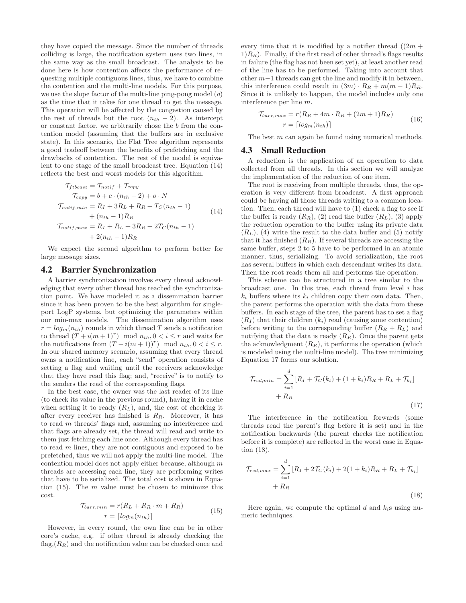they have copied the message. Since the number of threads colliding is large, the notification system uses two lines, in the same way as the small broadcast. The analysis to be done here is how contention affects the performance of requesting multiple contiguous lines, thus, we have to combine the contention and the multi-line models. For this purpose, we use the slope factor of the multi-line ping-pong model  $(o)$ as the time that it takes for one thread to get the message. This operation will be affected by the congestion caused by the rest of threads but the root  $(n_{th} - 2)$ . As intercept or constant factor, we arbitrarily chose the b from the contention model (assuming that the buffers are in exclusive state). In this scenario, the Flat Tree algorithm represents a good tradeoff between the benefits of prefetching and the drawbacks of contention. The rest of the model is equivalent to one stage of the small broadcast tree. Equation (14) reflects the best and worst models for this algorithm.

$$
\begin{aligned}\n\mathcal{T}_{ft{best}} &= \mathcal{T}_{notif} + \mathcal{T}_{copy} \\
\mathcal{T}_{copy} &= b + c \cdot (n_{th} - 2) + o \cdot N \\
\mathcal{T}_{notif, min} &= R_I + 3R_L + R_R + T_C(n_{th} - 1) \\
&+ (n_{th} - 1)R_R \\
\mathcal{T}_{notif, max} &= R_I + R_L + 3R_R + 2T_C(n_{th} - 1) \\
&+ 2(n_{th} - 1)R_R\n\end{aligned} \tag{14}
$$

We expect the second algorithm to perform better for large message sizes.

### 4.2 Barrier Synchronization

A barrier synchronization involves every thread acknowledging that every other thread has reached the synchronization point. We have modeled it as a dissemination barrier since it has been proven to be the best algorithm for singleport LogP systems, but optimizing the parameters within our min-max models. The dissemination algorithm uses  $r = log_m(n_{th})$  rounds in which thread T sends a notification to thread  $(T + i(m + 1)^r)$  mod  $n_{th}$ ,  $0 < i \leq r$  and waits for the notifications from  $(T - i(m + 1))^r$  mod  $n_{th}$ ,  $0 < i \leq r$ . In our shared memory scenario, assuming that every thread owns a notification line, each "send" operation consists of setting a flag and waiting until the receivers acknowledge that they have read this flag; and, "receive" is to notify to the senders the read of the corresponding flags.

In the best case, the owner was the last reader of its line (to check its value in the previous round), having it in cache when setting it to ready  $(R_L)$ , and, the cost of checking it after every receiver has finished is  $R_R$ . Moreover, it has to read m threads' flags and, assuming no interference and that flags are already set, the thread will read and write to them just fetching each line once. Although every thread has to read m lines, they are not contiguous and exposed to be prefetched, thus we will not apply the multi-line model. The contention model does not apply either because, although  $m$ threads are accessing each line, they are performing writes that have to be serialized. The total cost is shown in Equation  $(15)$ . The m value must be chosen to minimize this cost.

$$
\mathcal{T}_{barr,min} = r(R_L + R_R \cdot m + R_R)
$$

$$
r = \lceil log_m(n_{th}) \rceil
$$
 (15)

However, in every round, the own line can be in other core's cache, e.g. if other thread is already checking the flag, $(R_R)$  and the notification value can be checked once and every time that it is modified by a notifier thread  $((2m +$  $1(R_R)$ . Finally, if the first read of other thread's flags results in failure (the flag has not been set yet), at least another read of the line has to be performed. Taking into account that other m−1 threads can get the line and modify it in between, this interference could result in  $(3m) \cdot R_R + m(m-1)R_R$ . Since it is unlikely to happen, the model includes only one interference per line m.

$$
\mathcal{T}_{barr, max} = r(R_R + 4m \cdot R_R + (2m + 1)R_R)
$$

$$
r = \lceil log_m(n_{th}) \rceil
$$
(16)

The best m can again be found using numerical methods.

### 4.3 Small Reduction

A reduction is the application of an operation to data collected from all threads. In this section we will analyze the implementation of the reduction of one item.

The root is receiving from multiple threads, thus, the operation is very different from broadcast. A first approach could be having all those threads writing to a common location. Then, each thread will have to (1) check a flag to see if the buffer is ready  $(R_R)$ , (2) read the buffer  $(R_L)$ , (3) apply the reduction operation to the buffer using its private data  $(R_L)$ , (4) write the result to the data buffer and (5) notify that it has finished  $(R_R)$ . If several threads are accessing the same buffer, steps 2 to 5 have to be performed in an atomic manner, thus, serializing. To avoid serialization, the root has several buffers in which each descendant writes its data. Then the root reads them all and performs the operation.

This scheme can be structured in a tree similar to the broadcast one. In this tree, each thread from level  $i$  has  $k_i$  buffers where its  $k_i$  children copy their own data. Then, the parent performs the operation with the data from these buffers. In each stage of the tree, the parent has to set a flag  $(R_I)$  that their children  $(k_i)$  read (causing some contention) before writing to the corresponding buffer  $(R_R + R_L)$  and notifying that the data is ready  $(R_R)$ . Once the parent gets the acknowledgment  $(R_R)$ , it performs the operation (which is modeled using the multi-line model). The tree minimizing Equation 17 forms our solution.

$$
\mathcal{T}_{red,min} = \sum_{i=1}^{d} [R_I + \mathcal{T}_C(k_i) + (1 + k_i)R_R + R_L + \mathcal{T}_{k_i}] + R_R
$$
\n(17)

The interference in the notification forwards (some threads read the parent's flag before it is set) and in the notification backwards (the parent checks the notification before it is complete) are reflected in the worst case in Equation (18).

$$
\mathcal{T}_{red,max} = \sum_{i=1}^{d} [R_I + 2\mathcal{T}_C(k_i) + 2(1 + k_i)R_R + R_L + \mathcal{T}_{k_i}] + R_R
$$
\n(18)

Here again, we compute the optimal  $d$  and  $k_i$ s using numeric techniques.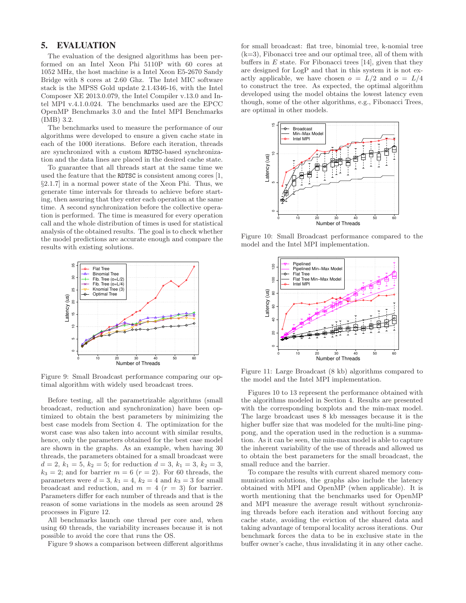# 5. EVALUATION

The evaluation of the designed algorithms has been performed on an Intel Xeon Phi 5110P with 60 cores at 1052 MHz, the host machine is a Intel Xeon E5-2670 Sandy Bridge with 8 cores at 2.60 Ghz. The Intel MIC software stack is the MPSS Gold update 2.1.4346-16, with the Intel Composer XE 2013.0.079, the Intel Compiler v.13.0 and Intel MPI v.4.1.0.024. The benchmarks used are the EPCC OpenMP Benchmarks 3.0 and the Intel MPI Benchmarks (IMB) 3.2.

The benchmarks used to measure the performance of our algorithms were developed to ensure a given cache state in each of the 1000 iterations. Before each iteration, threads are synchronized with a custom RDTSC-based synchronization and the data lines are placed in the desired cache state.

To guarantee that all threads start at the same time we used the feature that the RDTSC is consistent among cores [1, §2.1.7] in a normal power state of the Xeon Phi. Thus, we generate time intervals for threads to achieve before starting, then assuring that they enter each operation at the same time. A second synchronization before the collective operation is performed. The time is measured for every operation call and the whole distribution of times is used for statistical analysis of the obtained results. The goal is to check whether the model predictions are accurate enough and compare the results with existing solutions.

![](_page_9_Figure_4.jpeg)

Figure 9: Small Broadcast performance comparing our optimal algorithm with widely used broadcast trees.

Before testing, all the parametrizable algorithms (small broadcast, reduction and synchronization) have been optimized to obtain the best parameters by minimizing the best case models from Section 4. The optimization for the worst case was also taken into account with similar results, hence, only the parameters obtained for the best case model are shown in the graphs. As an example, when having 30 threads, the parameters obtained for a small broadcast were  $d = 2, k_1 = 5, k_2 = 5$ ; for reduction  $d = 3, k_1 = 3, k_2 = 3$ ,  $k_3 = 2$ ; and for barrier  $m = 6$  ( $r = 2$ ). For 60 threads, the parameters were  $d = 3$ ,  $k_1 = 4$ ,  $k_2 = 4$  and  $k_3 = 3$  for small broadcast and reduction, and  $m = 4$  ( $r = 3$ ) for barrier. Parameters differ for each number of threads and that is the reason of some variations in the models as seen around 28 processes in Figure 12.

All benchmarks launch one thread per core and, when using 60 threads, the variability increases because it is not possible to avoid the core that runs the OS.

Figure 9 shows a comparison between different algorithms

for small broadcast: flat tree, binomial tree, k-nomial tree  $(k=3)$ , Fibonacci tree and our optimal tree, all of them with buffers in  $E$  state. For Fibonacci trees [14], given that they are designed for LogP and that in this system it is not exactly applicable, we have chosen  $o = L/2$  and  $o = L/4$ to construct the tree. As expected, the optimal algorithm developed using the model obtains the lowest latency even though, some of the other algorithms, e.g., Fibonacci Trees, are optimal in other models.

![](_page_9_Figure_10.jpeg)

Figure 10: Small Broadcast performance compared to the model and the Intel MPI implementation.

![](_page_9_Figure_12.jpeg)

Figure 11: Large Broadcast (8 kb) algorithms compared to the model and the Intel MPI implementation.

Figures 10 to 13 represent the performance obtained with the algorithms modeled in Section 4. Results are presented with the corresponding boxplots and the min-max model. The large broadcast uses 8 kb messages because it is the higher buffer size that was modeled for the multi-line pingpong, and the operation used in the reduction is a summation. As it can be seen, the min-max model is able to capture the inherent variability of the use of threads and allowed us to obtain the best parameters for the small broadcast, the small reduce and the barrier.

To compare the results with current shared memory communication solutions, the graphs also include the latency obtained with MPI and OpenMP (when applicable). It is worth mentioning that the benchmarks used for OpenMP and MPI measure the average result without synchronizing threads before each iteration and without forcing any cache state, avoiding the eviction of the shared data and taking advantage of temporal locality across iterations. Our benchmark forces the data to be in exclusive state in the buffer owner's cache, thus invalidating it in any other cache.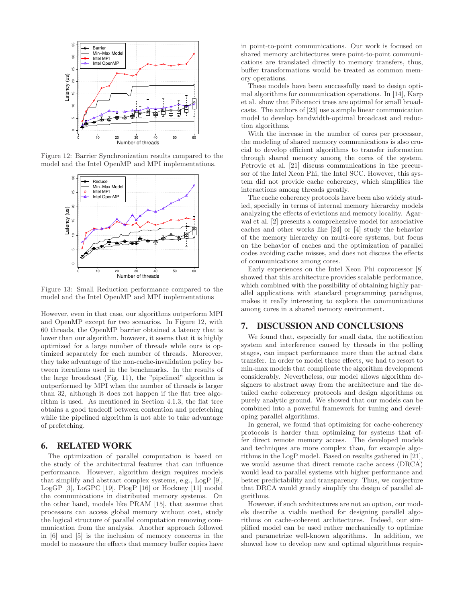![](_page_10_Figure_0.jpeg)

Figure 12: Barrier Synchronization results compared to the model and the Intel OpenMP and MPI implementations.

![](_page_10_Figure_2.jpeg)

Figure 13: Small Reduction performance compared to the model and the Intel OpenMP and MPI implementations

However, even in that case, our algorithms outperform MPI and OpenMP except for two scenarios. In Figure 12, with 60 threads, the OpenMP barrier obtained a latency that is lower than our algorithm, however, it seems that it is highly optimized for a large number of threads while ours is optimized separately for each number of threads. Moreover, they take advantage of the non-cache-invalidation policy between iterations used in the benchmarks. In the results of the large broadcast (Fig. 11), the "pipelined" algorithm is outperformed by MPI when the number of threads is larger than 32, although it does not happen if the flat tree algorithm is used. As mentioned in Section 4.1.3, the flat tree obtains a good tradeoff between contention and prefetching while the pipelined algorithm is not able to take advantage of prefetching.

### 6. RELATED WORK

The optimization of parallel computation is based on the study of the architectural features that can influence performance. However, algorithm design requires models that simplify and abstract complex systems, e.g., LogP [9], LogGP [3], LoGPC [19], PlogP [16] or Hockney [11] model the communications in distributed memory systems. On the other hand, models like PRAM [15], that assume that processors can access global memory without cost, study the logical structure of parallel computation removing communication from the analysis. Another approach followed in [6] and [5] is the inclusion of memory concerns in the model to measure the effects that memory buffer copies have in point-to-point communications. Our work is focused on shared memory architectures were point-to-point communications are translated directly to memory transfers, thus, buffer transformations would be treated as common memory operations.

These models have been successfully used to design optimal algorithms for communication operations. In [14], Karp et al. show that Fibonacci trees are optimal for small broadcasts. The authors of [23] use a simple linear communication model to develop bandwidth-optimal broadcast and reduction algorithms.

With the increase in the number of cores per processor, the modeling of shared memory communications is also crucial to develop efficient algorithms to transfer information through shared memory among the cores of the system. Petrovic et al. [21] discuss communications in the precursor of the Intel Xeon Phi, the Intel SCC. However, this system did not provide cache coherency, which simplifies the interactions among threads greatly.

The cache coherency protocols have been also widely studied, specially in terms of internal memory hierarchy models analyzing the effects of evictions and memory locality. Agarwal et al. [2] presents a comprehensive model for associative caches and other works like [24] or [4] study the behavior of the memory hierarchy on multi-core systems, but focus on the behavior of caches and the optimization of parallel codes avoiding cache misses, and does not discuss the effects of communications among cores.

Early experiences on the Intel Xeon Phi coprocessor [8] showed that this architecture provides scalable performance, which combined with the possibility of obtaining highly parallel applications with standard programming paradigms, makes it really interesting to explore the communications among cores in a shared memory environment.

# 7. DISCUSSION AND CONCLUSIONS

We found that, especially for small data, the notification system and interference caused by threads in the polling stages, can impact performance more than the actual data transfer. In order to model these effects, we had to resort to min-max models that complicate the algorithm development considerably. Nevertheless, our model allows algorithm designers to abstract away from the architecture and the detailed cache coherency protocols and design algorithms on purely analytic ground. We showed that our models can be combined into a powerful framework for tuning and developing parallel algorithms.

In general, we found that optimizing for cache-coherency protocols is harder than optimizing for systems that offer direct remote memory access. The developed models and techniques are more complex than, for example algorithms in the LogP model. Based on results gathered in [21], we would assume that direct remote cache access (DRCA) would lead to parallel systems with higher performance and better predictability and transparency. Thus, we conjecture that DRCA would greatly simplify the design of parallel algorithms.

However, if such architectures are not an option, our models describe a viable method for designing parallel algorithms on cache-coherent architectures. Indeed, our simplified model can be used rather mechanically to optimize and parametrize well-known algorithms. In addition, we showed how to develop new and optimal algorithms requir